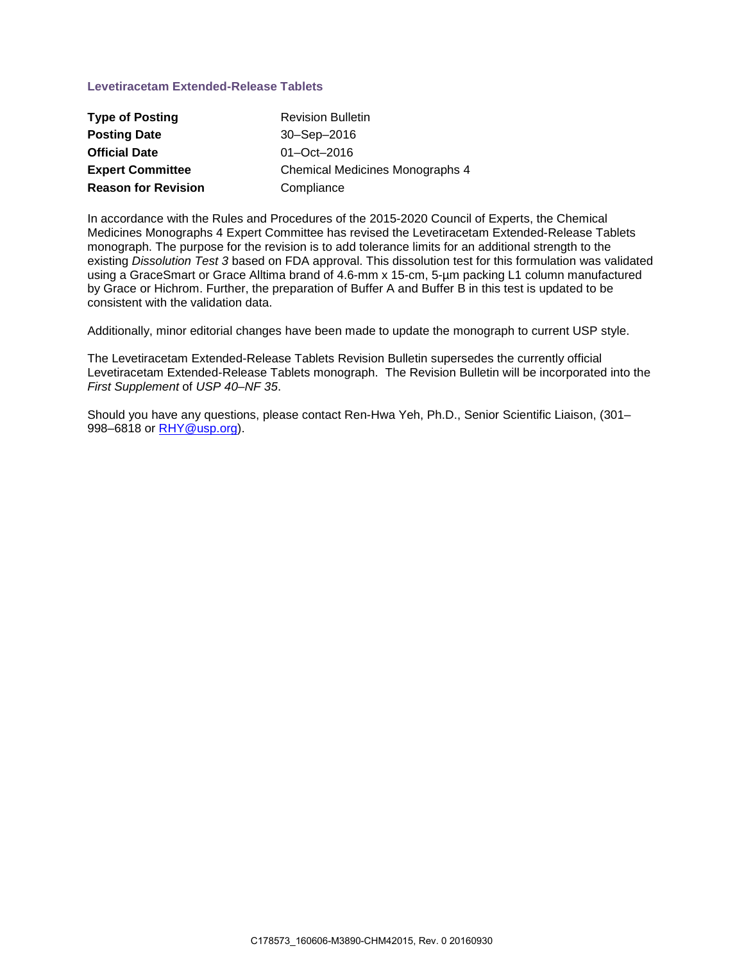## **Levetiracetam Extended-Release Tablets**

| <b>Type of Posting</b>     | <b>Revision Bulletin</b>               |
|----------------------------|----------------------------------------|
| <b>Posting Date</b>        | $30 -$ Sep $-2016$                     |
| <b>Official Date</b>       | $01 - Oct - 2016$                      |
| <b>Expert Committee</b>    | <b>Chemical Medicines Monographs 4</b> |
| <b>Reason for Revision</b> | Compliance                             |

In accordance with the Rules and Procedures of the 2015-2020 Council of Experts, the Chemical Medicines Monographs 4 Expert Committee has revised the Levetiracetam Extended-Release Tablets monograph. The purpose for the revision is to add tolerance limits for an additional strength to the existing *Dissolution Test 3* based on FDA approval. This dissolution test for this formulation was validated using a GraceSmart or Grace Alltima brand of 4.6-mm x 15-cm, 5-µm packing L1 column manufactured by Grace or Hichrom. Further, the preparation of Buffer A and Buffer B in this test is updated to be consistent with the validation data.

Additionally, minor editorial changes have been made to update the monograph to current USP style.

The Levetiracetam Extended-Release Tablets Revision Bulletin supersedes the currently official Levetiracetam Extended-Release Tablets monograph. The Revision Bulletin will be incorporated into the *First Supplement* of *USP 40–NF 35*.

Should you have any questions, please contact Ren-Hwa Yeh, Ph.D., Senior Scientific Liaison, (301– 998–6818 or [RHY@usp.org\)](mailto:RHY@usp.org).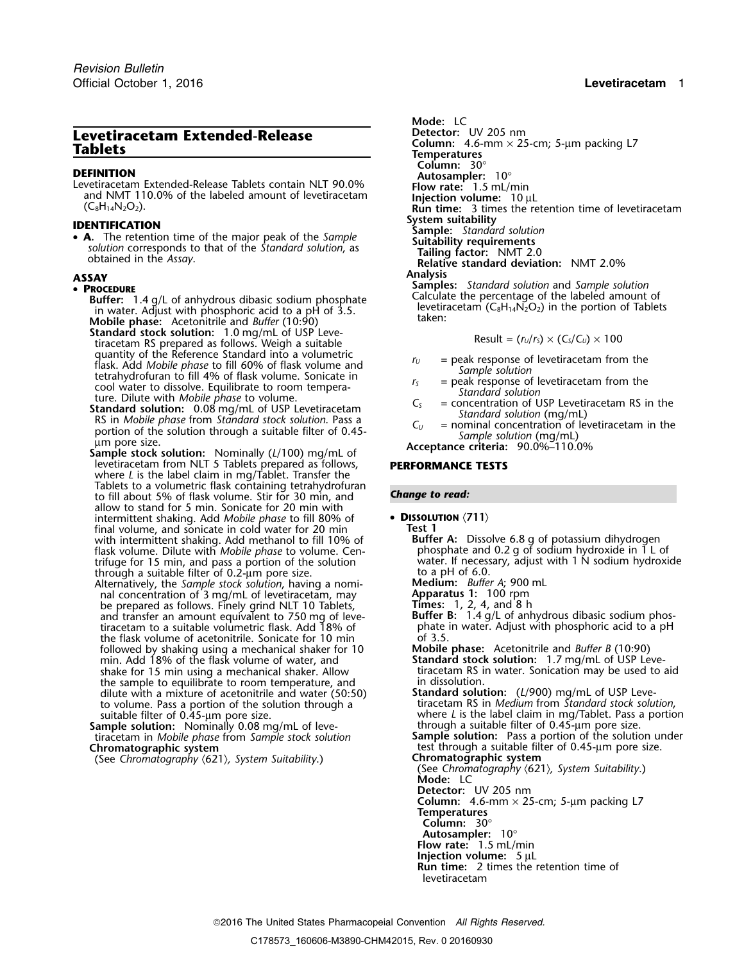# **Levetiracetam Extended-Release**

**DEFINITION**<br>
Levetiracetam Extended-Release Tablets contain NLT 90.0% **Flow rate:** 1.5 mL/min and NMT 110.0% of the labeled amount of levetiracetam **Injection volume:** 10 µL<br>
(C<sub>8</sub>H<sub>14</sub>N<sub>2</sub>O<sub>2</sub>). **INS INS INS INS**

**System suitability**<br> **• A.** The retention time of the major peak of the Sample **Sample:** *Standard solution*<br> *Suitability requirements*<br> *Suitability requirements* Solution corresponds to that of the Standard solution, as<br>obtained in the Assay.<br>Relative standard deviation: NMT 2.0%

- **Buffer:** 1.4 g/L of anhydrous dibasic sodium phosphate Calculate the percentage of the labeled amount of in water. Adjust with phosphoric acid to a pH of 3.5.<br>in water. Adjust with phosphoric acid to a pH of 3.5.<br>Additio **Mobile phase:** taken: Acetonitrile and *Buffer* (10:90)
- **Standard stock solution:** 1.0 mg/mL of USP Leve-<br>tiracetam RS prepared as follows. Weigh a suitable  $r = \frac{R}{2}$  Result =  $\frac{r_u}{r_s} \times \frac{C_s}{C_u} \times 100$ quantity of the Reference Standard into a volumetric<br>
flask. Add *Mobile phase* to fill 60% of flask volume and<br>
tetrahydrofuran to fill 4% of flask volume. Sonicate in<br>
colo water to dissolve. Equilibrate to room tempera
- 
- Sample stock solution: Nominally (L/100) mg/mL of<br>levetiracetam from NLT 5 Tablets prepared as follows, **PERFORMANCE TESTS** where *L* is the label claim in mg/Tablet. Transfer the Tablets to a volumetric flask containing tetrahydrofuran *Change to read:* to fill about 5% of flask volume. Stir for 30 min, and allow to stand for 5 min. Sonicate for 20 min with intermittent shaking. Add *Mobile phase* to fill 80% of • **<sup>D</sup>ISSOLUTION** 〈**711**〉 final volume, and sonicate in cold water for 20 min **Test 1** with intermittent shaking. Add methanol to fill 10% of **Buffer A:** Dissolve 6.8 g of potassium dihydrogen flask volume. Dilute with *Mobile phase* to volume. Cen-<br>flask volume. Dilute with *Mobile phase* to volume. Cen- ph flask volume. Dilute with *Mobile phase* to volume. Cen- <sup>p</sup>hosphate and 0.2 g of sodium hydroxide in 1 L of through a suitable filter of 0.2-um pore size.<br>Alternatively, the *Sample stock solution*, having a nomi-**Nedium:** *Buffer A;* 900 mL
- Alternatively, the *Sample stock solution*, having a nomi- **Medium:** *Buffer A*; 900 mL nal concentration of 3 mg/mL of levetiracetam, may **Apparatus 1:** 100 rpm be prepared as follows. Finely grind NLT 10 Tablets, and transfer an amount equivalent to 750 mg of levetiracetam to a suitable volumetric flask. Add 18% of the flask volume of acetonitrile. Sonicate for 10 min of 3.5 followed by shaking using a mechanical shaker for 10 **Mobile phase:** Acetonitrile and *Buffer B* (10:90) min. Add 18% of the flask volume of water, and **Standard stock solution:** 1.7 mg/mL of USP Leveshake for 15 min using a mechanical shaker. Allow tiracetam RS in the sample to equilibrate to room temperature, and the sample to aim dissolution. the sample to equilibrate to room temperature, and dilute with a mixture of acetonitrile and water (50:50) to volume. Pass a portion of the solution through a time of acetonitrile and water (50:50) **Standard solution:** (L/900) mg/mL of USP Leve-<br>to volume. Pass a portion of the solution through a tiracetam RS in *Medium* from
- **Sample solution:** Nominally 0.08 mg/mL of leve-<br>tiracetam in *Mobile phase* from *Sample stock solution* Sample solution: Nominally 0.08 mg/mL of leve-<br>tiracetam in *Mobile phase* from *Sample stock solution*<br>**Sample solution:** Pass a portion of the solution under<br>**Chromatographic system**<br>**Chromatographic system**<br>**Chromatogra**

(See Chromatography  $(621)$ , System Suitability.)

Mode: LC<br>Detector: UV 205 nm **Column:** 4.6-mm × 25-cm; 5-µm packing L7 **Tablets Temperatures Column:** 30° **Run time:** 3 times the retention time of levetiracetam **ASSAY Analysis SASAY**<br>• **PROCEDURE**<br>**Ruffer:** 14 g/L of anbydrous dibasic sodium phosphate **Samples:** *Standard solution* and *Sample solution*<br>Calculate the percentage of the labeled amount of

$$
Result = (r_U/r_S) \times (C_S/C_U) \times 100
$$

- 
- 
- 
- 

trifuge for 15 min, and pass a portion of the solution water. If necessary, adjust with 1 N sodium hydroxide

- 
- 

Figure 2. 4, and 8 h<br>**Buffer B:** 1.4 g/L of anhydrous dibasic sodium phos-<br>phate in water. Adjust with phosphoric acid to a pH

- 
- where *L* is the label claim in mg/Tablet. Pass a portion

test through a suitable filter of 0.45-µm pore size.<br>Chromatographic system

(See *Chromatography* 〈621〉*, System Suitability*.) **Mode:** LC **Detector:** UV 205 nm

**Column:** 4.6-mm × 25-cm; 5-µm packing L7

**Temperatures**

- **Column:** 30°
- 
- **Autosampler:** 10° **Flow rate:** 1.5 mL/min
- **Injection volume:** 5 µL

**Run time:** 2 times the retention time of levetiracetam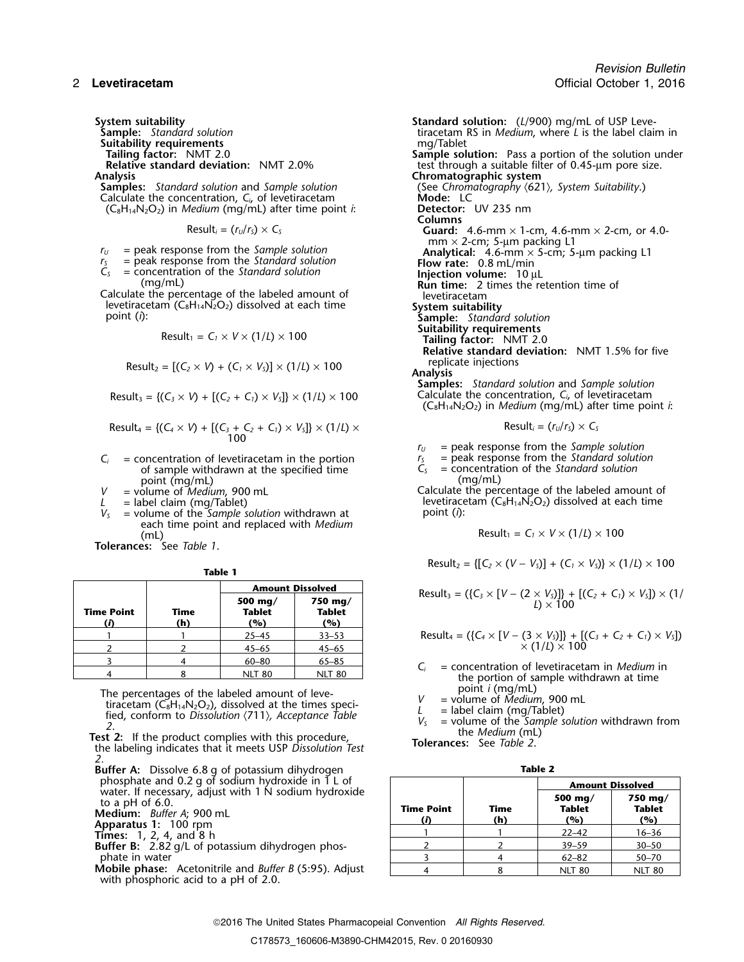**Suitability requirements<br>Tailing factor: NMT 2.0** 

**Samples:** *Standard solution* and *Sample solution* (See *Chrom* Calculate the concentration, *C<sub>i</sub>*, of levetiracetam **Suitable Mode:** LC Calculate the concentration,  $C_i$  of levetiracetam **Mode:** LC **Mode:** LC **Mode:** LC **C**<sub>8</sub>H<sub>14</sub>N<sub>2</sub>O<sub>2</sub>) in *Medium* (mg/mL) after time point *i*: **Detector:** UV 235 nm  $(C_8H_{14}N_2O_2)$  in *Medium* (mg/mL) after time point *i*:

$$
Result_i = (r_U/r_S) \times C_S
$$

- 
- 
- 

Calculate the percentage of the labeled amount of levetiracetam levetiracetam (C<sub>8</sub>H<sub>14</sub>N<sub>2</sub>O<sub>2</sub>) dissolved at each time **System suitability**<br>point (i): **Sample:** Standar

$$
Result_1 = C_1 \times V \times (1/L) \times 100
$$

Result<sub>2</sub> = 
$$
[(C_2 \times V) + (C_1 \times V_5)] \times (1/l) \times 100
$$
 replicate injections

$$
Result_3 = \{(C_3 \times V) + [(C_2 + C_1) \times V_5]\} \times (1/L) \times 100
$$

Result<sub>4</sub> = {
$$
(C_4 \times V)
$$
 + [ $(C_3 + C_2 + C_1) \times V_5$ ]  $\times$  (1/*L*)  $\times$ 

- $C_i$  = concentration of levetiracetam in the portion  $C_5$  = peak response from the *Standard solution* of sample withdrawn at the specified time  $C_5$  = concentration of the *Standard solution* of sample withdrawn at the specified time *C<sub>S</sub>* = concentration point (mg/mL)
- point (mg/mL)<br>= volume of *Medium*, 900 mL
- 
- *<sup>V</sup>* point (*i*): *<sup>S</sup>* = volume of the *Sample solution* withdrawn at each time point and replaced with *Medium* (mL)  $\qquad \qquad \mathsf{Result_1 = C_1 \times V \times (1/l) \times 100}$

**Tolerances:** See *Table 1*.

|--|--|

|            |             | <b>Amount Dissolved</b>  |                                   |                                                                                                                        |
|------------|-------------|--------------------------|-----------------------------------|------------------------------------------------------------------------------------------------------------------------|
| Time Point | Time<br>(h) | 500 mg/<br>Tablet<br>(%) | $750 \text{ ma}$<br>Tablet<br>(%) | Result <sub>3</sub> = $({C_3} \times [V - (2 \times V_5)])$ + $[(C_2 + C_1) \times V_5]) \times (1)$<br>$I \times 100$ |
|            |             | $25 - 45$                | $33 - 53$                         | Result <sub>4</sub> = $({C_4} \times [V - (3 \times V_S)]) + [(C_3 + C_2 + C_1) \times V_S])$                          |
|            |             | $45 - 65$                | $45 - 65$                         | $\times$ (1/L) $\times$ 100                                                                                            |
|            |             | $60 - 80$                | $65 - 85$                         | $=$ concentration of levetiracetam in <i>Medium</i> in                                                                 |
|            |             | NIT 80                   | NIT 80                            | المتحملة القامي ومستحمله والقائدة والمستحدث فالمراجع والمستحدث والملقا                                                 |

The percentages of the labeled amount of leve-<br>
tiracetam (C<sub>8</sub>H<sub>14</sub>N<sub>2</sub>O<sub>2</sub>), dissolved at the times speci-<br>
fied, conform to Dissolution (711), Acceptance Table<br>
2.<br> **Test 2:** If the product complies with this procedure

*2.*

- **Buffer A:** Dissolve 6.8 g of potassium dihydrogen **Table 2**
- 
- 

**Mobile phase:** Acetonitrile and *Buffer B* (5:95). Adjust with phosphoric acid to a pH of 2.0.

*Revision Bulletin* 2 **Levetiracetam** Official October 1, 2016

**System suitability**<br>**Standard solution**<br>**Standard solution**<br>**Standard solution**<br>**Standard solution**<br>**Standard Standard Solution**<br>**Standard Standard Standard Standard Standard Standard Standard Standard Standard Standard S** tiracetam RS in *Medium*, where *L* is the label claim in mg/Tablet **Tailing factor:** NMT 2.0 **Sample solution:** Pass a portion of the solution under **Relative standard deviation:** NMT 2.0% test through a suitable filter of 0.45-µm pore size. Analysis<br>**Samples:** Standard solution and Sample solution **Chromatographic system** (See Chromatography  $(621)$ , System Suitability.) **Columns** Guard:  $4.6$ -mm  $\times$  1-cm,  $4.6$ -mm  $\times$  2-cm, or  $4.0$ mm  $\times$  2-cm; 5-µm packing L1  $r_U$  = peak response from the *Sample solution*<br>  $r_S$  = peak response from the *Standard solution*<br> **Analytical:** 4.6-mm × 5-cm; 5-µm packing L1<br> **Flow rate:** 0.8 mL/min  $r_s$  = peak response from the *Standard solution* **Flow rate:** 0.8 mL/min *C<sub>S</sub>* = concentration of the *Standard solution* **Injection volume:** 10 µL (mg/mL) **Instandant injection volume:** 10 µL **Run time:** 2 times the retention time of  $\delta$ ample: *Standard solution*<br>Suitability requirements  $(T/L) \times 100$  **Tailing factor:** NMT 2.0 **Relative standard deviation:** NMT 1.5% for five **Samples:** *Standard solution* and *Sample solution* Calculate the concentration,  $C_i$ , of levetiracetam (C8H14N2O2) in *Medium* (mg/mL) after time point *i*:  $Result_i = (r_{U}/r_{S}) \times C_{S}$ 

 $r_U$  = peak response from the *Sample solution*<br> $r_S$  = peak response from the *Standard solution* 

*V* = volume of *Medium*, 900 mL Calculate the percentage of the labeled amount of the labeled amount of the labeled amount of the labeled amount of the labeled amount of the labeled amount of the labeled amount of the lab *L* = label claim (mg/Tablet)<br>  $V_s$  = volume of the *Sample solution* withdrawn at point (*i*):<br>
point (*i*):

$$
Result_1 = C_1 \times V \times (1/L) \times 100
$$

 $Result_2 = \{ [C_2 \times (V - V_5)] + (C_1 \times V_5) \} \times (1/L) \times 100$ 

Result<sub>3</sub> = (
$$
\{C_3 \times [V - (2 \times V_3)]\} + [(C_2 + C_1) \times V_3] \times (1/
$$
  
*L*) × 100

<sup>1</sup> <sup>1</sup> 25–45 33–53 Result<sup>4</sup> = ({*C<sup>4</sup>* <sup>×</sup> [*V* <sup>−</sup> (3 <sup>×</sup> *VS*)]} + [(*C3*<sup>+</sup>*C2*<sup>+</sup>*C1*) <sup>×</sup> *VS*])

- $C_i$  = concentration of levetiracetam in *Medium* in the portion of sample withdrawn at time point *i* (mg/mL)
- 
- 
- 

| phosphate and 0.2 g of sodium hydroxide in 1 L of                                                                                                                                                                                                                                                         |                         |             | <b>Amount Dissolved</b>         |                                 |  |
|-----------------------------------------------------------------------------------------------------------------------------------------------------------------------------------------------------------------------------------------------------------------------------------------------------------|-------------------------|-------------|---------------------------------|---------------------------------|--|
| water. If necessary, adjust with 1 N sodium hydroxide<br>to a pH of $6.0$ .<br>Medium: Buffer A: 900 mL<br>Apparatus 1: 100 rpm                                                                                                                                                                           | <b>Time Point</b><br>(D | Time<br>(h) | 500 mg/<br><b>Tablet</b><br>(%) | 750 mg/<br><b>Tablet</b><br>(%) |  |
| <b>Times:</b> $1, 2, 4, and 8 h$                                                                                                                                                                                                                                                                          |                         |             | $22 - 42$                       | $16 - 36$                       |  |
| <b>Buffer B:</b> 2.82 g/L of potassium dihydrogen phos-                                                                                                                                                                                                                                                   |                         |             | $39 - 59$                       | $30 - 50$                       |  |
| phate in water                                                                                                                                                                                                                                                                                            |                         |             | $62 - 82$                       | $50 - 70$                       |  |
| <b>Mobile phase:</b> Acetonitrile and <i>Buffer B</i> (5:95). Adjust<br>$\mathbf{r}$ . The state of the state of the state of the state of the state of the state of the state of the state of the state of the state of the state of the state of the state of the state of the state of the state of th |                         |             | <b>NLT 80</b>                   | <b>NLT 80</b>                   |  |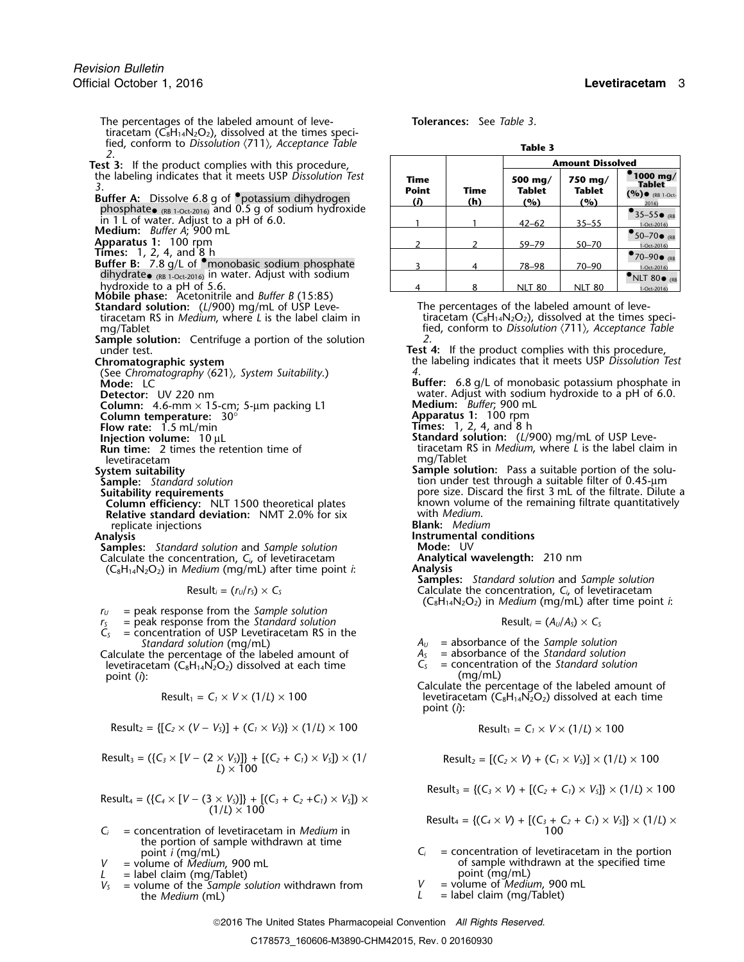The percentages of the labeled amount of leve- **Tolerances:** See *Table 3*. tiracetam ( $\check{C_8}H_{14}N_2O_2$ ), dissolved at the times specified, conform to *Dissolution*  $\langle 711 \rangle$ *, Acceptance Table* **Table** 3

- Test 3: If the product complies with this procedure, the labeling indicates that it meets USP Dissolution Test
- (RB in 1 L of water. Adjust to a pH of 6.0.<br> **Medium:** *Buffer A*; 900 mL
- 
- 
- 
- 
- **Mobile phase:** Acetonitrile and *Buffer B* (15:85)
- tiracetam RS in *Medium*, where *L* is the label claim in
- **Sample solution:** Centrifuge a portion of the solution under test.
- 
- (See *Chromatography* 〈621〉*, System Suitability*.) *4.*
- 
- 
- **Column:** 4.6-mm × 15-cm; 5-μm packing L1<br>**Column temperature:** 30°
- **Flow rate:** 1.5 mL/min
- 

- levetiracetam<br>System suitability
- 
- 
- 
- **Column efficiency:** NLT 1500 theoretical plates known volumer and remaining the remaining remaining filtrate quantitative dual the remaining remaining filtrate quantitative standard deviation: NMT 2.0% for six with *Mediu* **Relative standard deviation:** NMT 2.0% for six replicate injections **Blank:** *Medium*

**Samples:** *Standard solution* and *Sample solution* **Mode:** UV<br>
Calculate the concentration. C. of levetiracetam **Analytical wavelength:** 210 nm Calculate the concentration, *C<sub>i</sub>*, of levetiracetam **Analytical Manalytical Wavelength:** 2010<br>C<sub>e</sub>H<sub>14</sub>N<sub>2</sub>O<sub>2</sub>) in *Medium* (mg/ml) after time point *i* (C8H14N2O2) in *Medium* (mg/mL) after time point *i*: **Analysis**

- *<sup>r</sup><sup>U</sup>* = peak response from the *Sample solution*
- $r<sub>S</sub>$  = peak response from the *Standard solution*
- $\tilde{C}_s$  = concentration of USP Levetiracetam RS in the *Standard solution* (mg/mL)  $A_U$  = absorbance of the *Sample solution*<br>  $A_S$  = absorbance of the *Standard solution*<br>  $A_S$  = absorbance of the *Standard solution*
- Calculate the percentage of the labeled amount of *<sup>A</sup><sup>S</sup>* = absorbance of the *Standard solution* levetiracetam (C<sub>8</sub>H<sub>14</sub>N<sub>2</sub>O<sub>2</sub>) dissolved at each time  $C_5$  = concentrat point (*i*): (mg/mL) point (*i*): (mg/mL)

$$
Result_1 = C_1 \times V \times (1/L) \times 100
$$

$$
Result_2 = \{ [C_2 \times (V - V_5)] + (C_1 \times V_5) \} \times (1/L) \times 100
$$
\n
$$
Result_1 = C_1 \times V \times (1/L) \times 100
$$

Result<sub>3</sub> = (
$$
{C_3 \times [V - (2 \times V_3)]} + [(C_2 + C_1) \times V_3] \times (1)
$$
  
Result<sub>2</sub> =  $[(C_2 \times V) + (C_1 \times V_3)] \times (1/l) \times 100$ 

Result<sub>4</sub> = (
$$
{C_4 \times [V - (3 \times V_3)]}
$$
 + [ $(C_3 + C_2 + C_1) \times V_5$ ])  $\times$   
(1/L)  $\times$  100

- $C_i$  = concentration of levetiracetam in *Medium* in the portion of sample withdrawn at time point  $i$  (mq/mL)
- 
- 
- $L =$  label claim (mg/Tablet)<br>V<sub>2</sub> = volume of the *Sample solution* withdrawn from  $V =$  volume of *Medium*, 900 mL  $V =$  volume of the *Sample solution* withdrawn from  $V =$  the *Medium* (m) the *Medium*  $(mL)$ <sup>'</sup>  $L =$  label claim  $(mg/Ta)$  let

| a | ۱<br>Л |  |
|---|--------|--|

| est 3: If the product complies with this procedure,                                                                                                                                  |                                         |             |                                 | <b>Amount Dissolved</b>         |                                                                                |  |
|--------------------------------------------------------------------------------------------------------------------------------------------------------------------------------------|-----------------------------------------|-------------|---------------------------------|---------------------------------|--------------------------------------------------------------------------------|--|
| the labeling indicates that it meets USP Dissolution Test<br>Buffer A: Dissolve 6.8 g of "potassium dihydrogen<br>phosphate <sub>(RB 1-Oct-2016)</sub> and 0.5 g of sodium hydroxide | Time<br><b>Point</b><br>$\ddot{\Omega}$ | Time<br>(h) | 500 mg/<br><b>Tablet</b><br>(%) | 750 mg/<br><b>Tablet</b><br>(%) | $^{\bullet}$ 1000 mg/<br><b>Tablet</b><br>$($ %) $\bullet$ (RB 1-Oct-<br>2016) |  |
| in 1 L of water. Adjust to a pH of 6.0.<br>Medium: Buffer A; 900 mL                                                                                                                  |                                         |             | $42 - 62$                       | $35 - 55$                       | $\bullet$ 35-55 $\bullet$ <sub>(RB</sub><br>1-Oct-2016)                        |  |
| Apparatus 1: 100 rpm                                                                                                                                                                 |                                         |             | $59 - 79$                       | 50-70                           | $\bullet$ 50-70 $\bullet$ <sub>(RB</sub> )<br>1-Oct-2016)                      |  |
| <b>Times:</b> 1, 2, 4, and $8 h$<br>Buffer B: 7.8 g/L of <i>monobasic sodium phosphate</i>                                                                                           |                                         |             | $78 - 98$                       | $70 - 90$                       | $\bullet$ 70-90 $\bullet$ <sub>(RB</sub><br>1-Oct-2016)                        |  |
| dihydrate $_{\text{CRB 1-Oct-2016}}$ in water. Adjust with sodium<br>hydroxide to a pH of 5.6.                                                                                       |                                         |             | <b>NLT 80</b>                   | <b>NLT 80</b>                   | $\bullet$ NLT 80 $\bullet$ <sub>(RB</sub><br>1-Oct-2016)                       |  |

**Standard solution:** (*L*/900) mg/mL of USP Leve-<br>tiracetam RS in *Medium*, where *L* is the label claim in tiracetam (C<sub>8</sub>H<sub>14</sub>N<sub>2</sub>O<sub>2</sub>), dissolved at the times specimg/Tablet fied, conform to *Dissolution* 〈711〉*, Acceptance Table*

under test.<br> **Chromatographic system**<br> **Chromatographic system Test 4:** If the product complies with this procedure,<br>
the labeling indicates that it meets USP Dissolution **Chromatographic system** the labeling indicates that it meets USP *Dissolution Test*

**Mode:** LC **Buffer:** 6.8 g/L of monobasic potassium phosphate in<br>**Detector:** UV 220 nm **Buffer:** 6.8 g/L of monobasic potassium phosphate in water. Adjust with sodium hydroxide to a pH of 6.0. **Medium:** *Buffer*, 900 mL<br>**Apparatus 1:** 100 rpm<br>**Times:** 1, 2, 4, and 8 h

- **Injection volume:** 10 µL **Standard solution:** (*L*/900) mg/mL of USP Leve-<br>**Run time:** 2 times the retention time of the state of tracetam RS in *Medium*, where *L* is the label clair tiracetam RS in *Medium*, where *L* is the label claim in mg/Tablet
- **Sample solution:** Pass a suitability **Sample solution:** Pass a suitable portion of the solu-<br>**Sample:** Standard solution **Sample:** Standard solution of the solu-**Sample:** *Standard solution*<br> **Sample:** *Standard solution*<br> **Suitability requirements**<br> **Suitability requirements**<br> **Suitability requirements** pore size. Discard the first 3 mL of the filtrate. Dilute a known volume of the remaining filtrate quantitatively
	-
	- **Instrumental conditions**<br>Mode: UV

**Samples:** *Standard solution* and *Sample solution* Result<sub>i</sub> =  $(r<sub>U</sub>/r<sub>S</sub>) \times C_s$  Calculate the concentration,  $C_i$ , of levetiracetam (C8H14N2O2) in *Medium* (mg/mL) after time point *i*:

$$
Result_i = (A_U/A_S) \times C_S
$$

- 
- 

Calculate the percentage of the labeled amount of levetiracetam  $(C_8H_{14}N_2O_2)$  dissolved at each time point (*i*):

$$
Result_1 = C_1 \times V \times (1/L) \times 100
$$

Result<sub>2</sub> = 
$$
[(C_2 \times V) + (C_1 \times V_5)] \times (1/L) \times 100
$$

 $Result_3 = \{ (C_3 \times V) + [(C_2 + C_1) \times V_5] \} \times (1/L) \times 100$ 

Result<sub>4</sub> = {
$$
(C_4 \times V)
$$
 + [ $(C_3 + C_2 + C_1) \times V_5$ ]}  $\times$  (1/*L*)  $\times$   
100

- point *i* (mg/mL)  $C_i$  = concentration of levetiracetam in the portion = volume of *Medium*, 900 mL of sample withdrawn at the specified time *V* = volume of *Medium*, 900 mL<br> *L* = label claim (mg/Tablet) **by** the specified time point (mg/mL)
	-
	-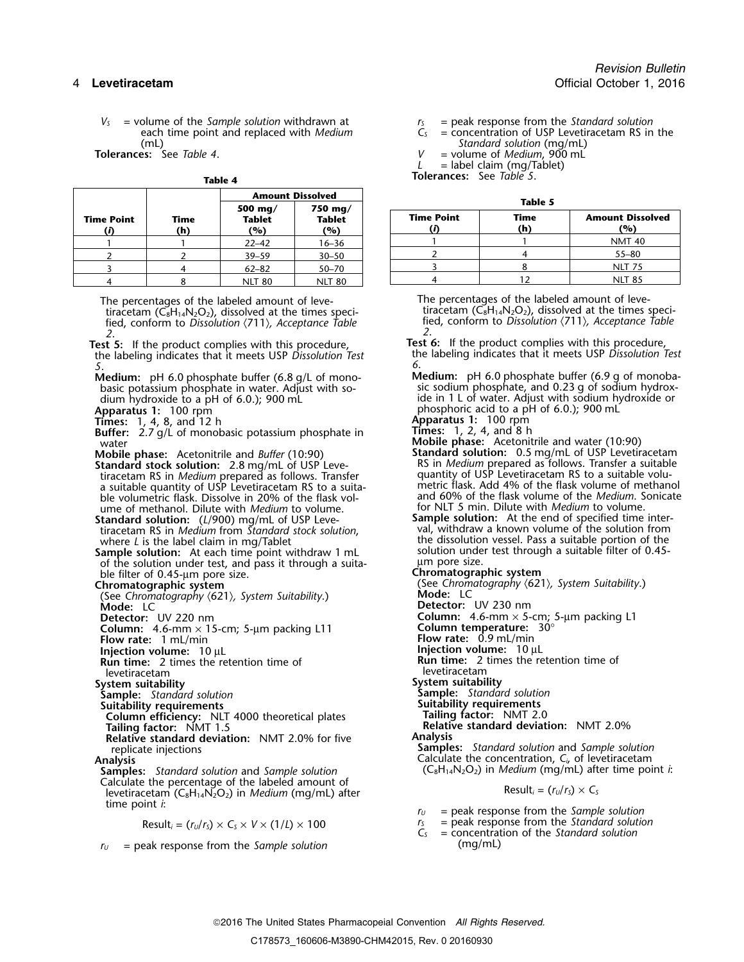$V_s$  = volume of the *Sample solution* withdrawn at  $V_s$  = peak response from the *Standard solution* each time point and replaced with *Medium*  $C_s$  = concentration of USP Levetiracetam RS in each time point and replaced with *Medium*  $\tilde{C}_s$  = concentration of USP Levetiracetam RS in the  $\tilde{C}_s$  = concentration of USP Levetiracetam RS in the  $\tilde{C}_s$ (mL) *Standard solution* (mg/mL)

| ıаı | DI | e |  |
|-----|----|---|--|

|                   |             | <b>Amount Dissolved</b>            |                                 |  |                   | Table 5     |                           |  |
|-------------------|-------------|------------------------------------|---------------------------------|--|-------------------|-------------|---------------------------|--|
| <b>Time Point</b> | Time<br>(h) | 500 mg/<br><b>Tablet</b><br>$($ %) | 750 mg/<br><b>Tablet</b><br>(%) |  | <b>Time Point</b> | Time<br>(h) | <b>Amount Diss</b><br>(%) |  |
|                   |             | $22 - 42$                          | $16 - 36$                       |  |                   |             | <b>NMT 40</b>             |  |
|                   |             | $39 - 59$                          | $30 - 50$                       |  |                   |             | $55 - 80$                 |  |
|                   |             | $62 - 82$                          | $50 - 70$                       |  |                   |             | <b>NLT 75</b>             |  |
|                   |             | <b>NLT 80</b>                      | <b>NLT 80</b>                   |  |                   |             | <b>NLT 85</b>             |  |

The percentages of the labeled amount of leve-<br>tiracetam (C<sub>8</sub>H<sub>14</sub>N<sub>2</sub>O<sub>2</sub>), dissolved at the times speci-<br>tiracetam (C<sub>8</sub>H<sub>14</sub>N<sub>2</sub>O<sub>2</sub>), dissolved at the times specitiracetam  $(\bar{C}_8H_{14}N_2O_2)$ , dissolved at the times speci-<br>fied, conform to Dissolution (711), Acceptance Table fied, conform to Dissolution (711), Acceptance Table fied, conform to *Dissolution* 〈711〉*, Acceptance Table* fied, conform to *Dissolution* 〈711〉*, Acceptance Table 2 2*. .

the labeling indicates that it meets USP *Dissolution Test* the labeling indicates that it meets USP *Dissolution Test 5 6*. .

basic potassium phosphate in water. Adjust with sodium hydroxide to a pH of 6.0.); 900 mL

**Times:** 1, 4, 8, and 12 h **Apparatus 1:** 100 rpm

**Buffer:** 2.7 g/L of monobasic potassium phosphate in **Times:** 1, 2, 4, and 8 h water: 2.7 g/L of monobasic potassium phosphate in **Times:** 1, 2, 4, and 8 h<br>Weble phase: Acetonitrile and water (10:90)

**Standard stock solution:** 2.8 mg/mL of USP Leve- RS in *Medium* prepared as follows. Transfer a suitable volution<br>-tiracetam RS in *Medium* prepared as follows. Transfer quantity of USP Levetiracetam RS to a suitable volu a suitable quantity of USP Levetiracetam RS to a suita-<br>ble volumetric flask. Dissolve in 20% of the flask volume of methanol. Dilute with *Medium* for NLT 5 min. Dilute with *Medium* to volume. to volume.

tiracetam RS in *Medium* from *Standard stock solution*, val, withdraw a known volume of the solution from

**Sample solution:** At each time point withdraw 1 mL solution under the solution under test, and pass it through a suitaof the solution under test, and pass it through a suita-<br>ble filter of 0.45-um pore size.<br>**Chromatographic system** ble filter of 0.45-µm pore size. **Chromatographic system**

(See *Chromatography* 〈621〉*, System Suitability*.) **Mode:** LC

Detector: UV 220 nm<br> **Detector:** UV 220 nm<br> **Column:** 4.6-mm × 15-cm: 5-um packing L11 **Column temperature:** 30° **Column:** 4.6-mm × 15-cm; 5-µm packing L11 **Flow rate:** 1 mL/min

- 
- **Injection volume:**<sup>10</sup> <sup>µ</sup><sup>L</sup> **Injection volume:**<sup>10</sup> <sup>µ</sup><sup>L</sup>

**Run time:** 2 times the retention time of 2 times the retention time of levetiracetam levetiracetam

- 
- **System suitability**<br> **Sample:** Standard solution<br> **Sample:** Standard solution
- 

**Column efficiency:** NLT 4000 theoretical plates **Tailing factor:** NMT 2.0

**Relative standard deviation:** NMT 2.0% for five **Analysis**

**Samples:** *Standard solution* and *Sample solution* (C<sub>8</sub>H<sub>14</sub>N<sub>2</sub>O<sub>2</sub>) in *Medium* (mg/mL) after time point *i*: <br>Calculate the percentage of the labeled amount of Experimentally of the labeled amount of  $S$  levetiracetam ( $C_8H_{14}N_2O_2$ ) in *Medium* (mg/mL) after Result<sub>i</sub> =  $(r_U/r_S) \times C_S$ time point *i*: *<sup>r</sup><sup>U</sup>* = peak response from the *Sample solution*

$$
Result_i = (r_U/r_S) \times C_S \times V \times (1/L) \times 100
$$

 $r_U$  = peak response from the *Sample solution*  $(mg/mL)$ 

**Tolerances:** See *Table 4*. *V* = volume of *Medium*, 900 mL

 $L =$  label claim (mg/Tablet)

**Tolerances:** See *Table 5*.

| ۰.<br>M.<br>۰.<br>× | v<br>v. |
|---------------------|---------|
|---------------------|---------|

|            |             | 500 mg/              | 750 mg/              |                   |                    |                                |
|------------|-------------|----------------------|----------------------|-------------------|--------------------|--------------------------------|
| Time Point | Time<br>(h) | <b>Tablet</b><br>(%) | <b>Tablet</b><br>(%) | <b>Time Point</b> | <b>Time</b><br>(h) | <b>Amount Dissolved</b><br>(%) |
|            |             | $22 - 42$            | 16–36                |                   |                    | <b>NMT 40</b>                  |
|            |             | $39 - 59$            | $30 - 50$            |                   |                    | $55 - 80$                      |
|            |             | $62 - 82$            | $50 - 70$            |                   |                    | <b>NLT 75</b>                  |
|            |             | NIIT RO              | NIT 80               |                   |                    | NLT 85                         |

**Test 5:** If the product complies with this procedure,<br>In the labeling indicates that it meets USP Dissolution Test<br>In the labeling indicates that it meets USP Dissolution Test

- **Medium:** pH 6.0 phosphate buffer (6.8 g/L of mono-<br>basic potassium phosphate in water. Adjust with so-<br>sic sodium phosphate, and 0.23 g of sodium hydroxide in 1 L of water. Adjust with sodium hydroxide or phosphoric acid to a pH of 6.0.); 900 mL **Apparatus 1:** 100 rpm <sup>p</sup>hosphoric acid to a pH of 6.0.); 900 mL
	-
	-
- **Mobile phase:** Acetonitrile and *Buffer* (10:90) **Standard solution:** 0.5 mg/mL of USP Levetiracetam tiracetam RS in *Medium* prepared as follows. Transfer equantity of USP Levetiracetam RS to a suitable volu-<br>a suitable quantity of USP Levetiracetam RS to a suita-<br>metric flask. Add 4% of the flask volume of methanol and 60% of the flask volume of the *Medium*. Sonicate
- **Standard solution: Sample solution:** At the end of specified time inter- (*L*/900) mg/mL of USP Levewhere *L* is the label claim in mg/Tablet the dissolution vessel. Pass a suitable portion of the vertion of the dissolution vessel. Pass a suitable portion of the sample solution: At each time point withdraw 1 mL

(See Chromatography  $\langle 621 \rangle$ , System Suitability.)<br>**Mode:** LC

- **Detector:** UV 230 nm
- 
- 
- 
- **Flow rate:** 0.9 mL/min<br>**Injection volume:** 10 µL
- 
- 
- 
- **Sample:** *Standard solution* **Sample:** *Standard solution*
- **Suitability requirements Suitability requirements**
	-

**Tailing factor:** NMT 1.5 **Relative standard deviation:** NMT 2.0%

replicate injections **Samples:** *Standard solution* and *Sample solution*<br>Calculate the concentration, *C<sub>i</sub>*, of levetiracetam **Analysis** Calculate the concentration, *C<sup>i</sup>*, of levetiracetam

- 
- $r_s$  = peak response from the Standard solution<br> $C_s$  = concentration of the Standard solution
-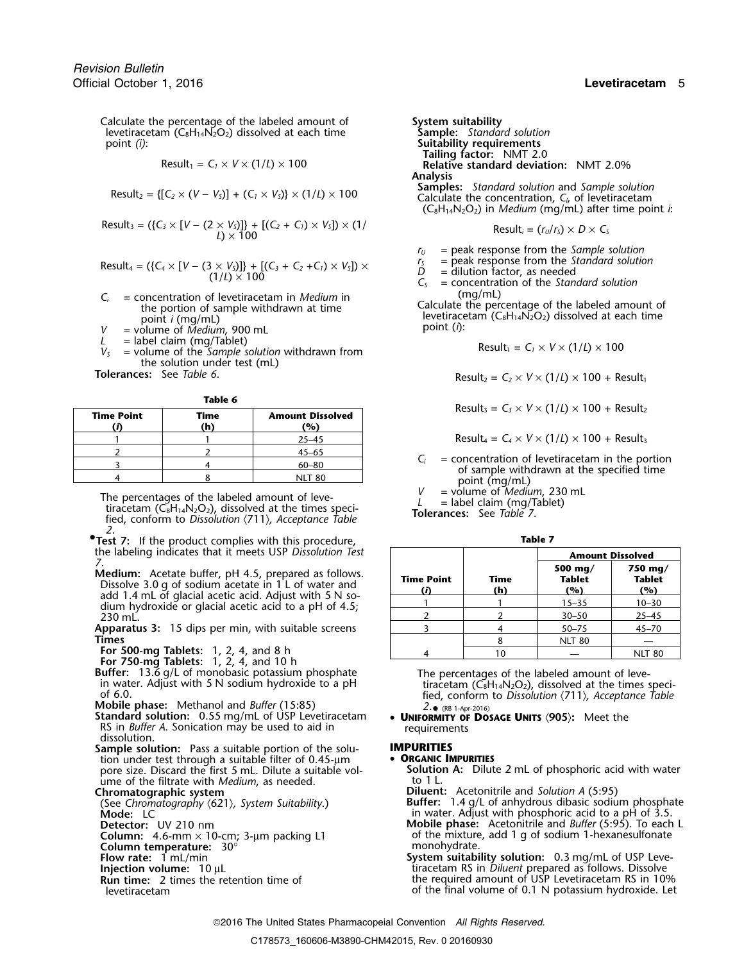Calculate the percentage of the labeled amount of **System suitability**<br>levetiracetam (C<sub>8</sub>H<sub>14</sub>N<sub>2</sub>O<sub>2</sub>) dissolved at each time **Sample:** Standard solution levetiracetam  $(C_8H_{14}N_2O_2)$  dissolved at each time point *(i)*:

$$
Result_1 = C_1 \times V \times (1/L) \times 100
$$

Result<sub>2</sub> = {[
$$
C_2 \times (V - V_S)
$$
] + ( $C_1 \times V_S$ )}  $\times$  (1/ $L$ )  $\times$  100

$$
Result_3 = (\{C_3 \times [V - (2 \times V_5)]\} + [(C_2 + C_1) \times V_5]) \times (1/\n\qquad \qquad \text{Result}_i = (r_U/r_s) \times D \times C_5
$$

Result<sub>4</sub> = (
$$
\{C_4 \times [V - (3 \times V_5)]\} + [(C_3 + C_2 + C_1) \times V_5]\}
$$
 ×  $(1/L) \times 100$ 

- $C_i$  = concentration of levetiracetam in *Medium* in (mg/mL)<br>the portion of sample withdrawn at time<br>point *i* (mg/mL)<br> $V$  = volume of *Medium*, 900 mL and time<br>point *i* (ng/mL)<br>point (*i*):
- 
- 
- *L* = label claim (mg/Tablet)<br>*V<sub>S</sub>* = volume of the *Sample solution* withdrawn from the solution under test (mL)<br>Tolerances: See Table 6.

| M.<br>٠ |  |
|---------|--|
|---------|--|

| <b>Time Point</b> | Time<br>'n | <b>Amount Dissolved</b><br>(%) |
|-------------------|------------|--------------------------------|
|                   |            | $25 - 45$                      |
|                   |            | $45 - 65$                      |
|                   |            | $60 - 80$                      |
|                   |            | NIT 80                         |

The percentages of the labeled amount of leve-<br>tiracetam (C<sub>8</sub>H<sub>14</sub>N<sub>2</sub>O<sub>2</sub>), dissolved at the times speci-<br>fied, conform to Dissolution  $\langle 711 \rangle$ , Acceptance Table<br>**Tolerances:** See Table 7. *2*.

**•.Test 7:** If the product complies with this procedure, **Table 7** the labeling indicates that it meets USP Dissolution Test

**Standard solution:** 0.55 mg/mL of USP Levetiracetam • **UNIFORMITY OF**<br>RS in *Buffer A*. Sonication may be used to aid in requirements RS in *Buffer A*. Sonication may be used to aid in requireme<br>dissolution.<br>**Sample solution:** Pass a suitable portion of the solu-**NIPURITIES** 

**Sample solution:** Pass a suitable portion of the solu-**IMPURITIES**<br>tion under test through a suitable filter of 0.45-um **• ORGANIC IMPURITIES** tion under test through a suitable filter of 0.45-µm **• ORGANIC IMPURITIES**<br>pore size. Discard the first 5 mL. Dilute a suitable vol-<br>Solution A: Dilute 2 mL of phosphoric acid with water pore size. Discard the first 5 mL. Dilute a suitable vol-**Solution A: Solution A:** Dilute 2 mme of the filtrate with *Medium* as needed. ume of the filtrate with *Medium*, as needed.<br>Chromatographic system

- 
- 
- 
- **Column temperature:** 30<sup>°</sup><br>Flow rate: 1 mL/min
- 
- 
- 

point *(i)*: **Suitability requirements Tailing factor:** NMT 2.0 **Relative standard deviation:** NMT 2.0% Analysis<br>Samples: Standard solution and Sample solution Calculate the concentration,  $C_i$ , of levetiracetam  $(C_8H_{14}N_2O_2)$  in *Medium* (mg/mL) after time point *i*:

$$
Result_i = (r_U/r_S) \times D \times C_S
$$

 $r_U$  = peak response from the *Sample solution*<br> $r_S$  = peak response from the *Standard solution* 

 $r_s$  = peak response from the Standard solut<br>  $D =$  dilution factor, as needed<br>  $C_s =$  concentration of the Standard solution

$$
Result_1 = C_1 \times V \times (1/L) \times 100
$$

 $\text{Result}_2 = C_2 \times V \times (1/L) \times 100 + \text{Result}_1$ 

 $Result_3 = C_3 \times V \times (1/L) \times 100 + Result_2$ 

 $Result_4 = C_4 \times V \times (1/L) \times 100 + Result_3$ 

 $C_i$  = concentration of levetiracetam in the portion of sample withdrawn at the specified time point (mg/mL)  $V$  = volume of *Medium*, 230 mL

| the labeling indicates that it meets USP Dissolution Test                                                       |                                                |             | <b>Amount Dissolved</b>         |                                 |
|-----------------------------------------------------------------------------------------------------------------|------------------------------------------------|-------------|---------------------------------|---------------------------------|
| Medium: Acetate buffer, pH 4.5, prepared as follows.<br>Dissolve 3.0 g of sodium acetate in 1 L of water and    | <b>Time Point</b><br>(D                        | Time<br>(h) | 500 mg/<br><b>Tablet</b><br>(%) | 750 mg/<br><b>Tablet</b><br>(%) |
| add 1.4 mL of glacial acetic acid. Adjust with 5 N so-<br>dium hydroxide or glacial acetic acid to a pH of 4.5; |                                                |             | $15 - 35$                       | $10 - 30$                       |
| 230 mL.                                                                                                         |                                                |             | $30 - 50$                       | $25 - 45$                       |
| Apparatus 3: 15 dips per min, with suitable screens                                                             |                                                |             | $50 - 75$                       | $45 - 70$                       |
| Times                                                                                                           |                                                |             | <b>NLT 80</b>                   |                                 |
| For 500-mg Tablets: $1, 2, 4$ , and 8 h                                                                         |                                                | 10          |                                 | <b>NLT 80</b>                   |
| For 750-mg Tablets: 1, 2, 4, and 10 h<br>Buffer: 13.6 g/L of monobasic potassium phosphate                      | The percentages of the labeled amount of leve- |             |                                 |                                 |

in water. Adjust with 5 N sodium hydroxide to a pH<br>of 6.0.<br>**Mobile phase:** Methanol and *Buffer* (15:85)<br> $\frac{3.6 \times 10^{11} \text{ m/s}}{2.6 \times 10^{16} \text{ m/s}}$ <br> $\frac{3.6 \times 10^{11} \text{ m/s}}{2.6 \times 10^{16} \text{ m/s}}$ <br> $\frac{3.6 \times 10^{11} \text{ m/s}}{2.6 \times 1$ • (RB 1-Apr-2016)

**Chromatographic system**<br>
(See Chromatography (621), System Suitability.) **Diluent:** Acetonitrile and Solution A (5:95) (See *Chromatography* 〈621〉*, System Suitability*.) **Buffer:** 1.4 g/L of anhydrous dibasic sodium phosphate in water. Adjust with phosphoric acid to a pH of 3.5. **Detector:** UV 210 nm **Mobile phase:** Acetonitrile and *Buffer* (5:95). To each L

**Column:** 4.6-mm × 10-cm; 3-µm packing L1 of the mixture, add 1 g of sodium 1-hexanesulfonate<br> **Column temperature:** 30° **System suitability solution:** 0.3 mg/mL of USP Leve-

**Injection volume:** 10 µL **invertion colluming the state of the state of the required amount of USP Levetiracetam RS in 109<br>Run time: 2 times the retention time of <b>the state of the required amount of USP** Levetiracetam RS the required amount of USP Levetiracetam RS in 10% levetiracetam of the final volume of 0.1 N potassium hydroxide. Let

2016 The United States Pharmacopeial Convention *All Rights Reserved.*